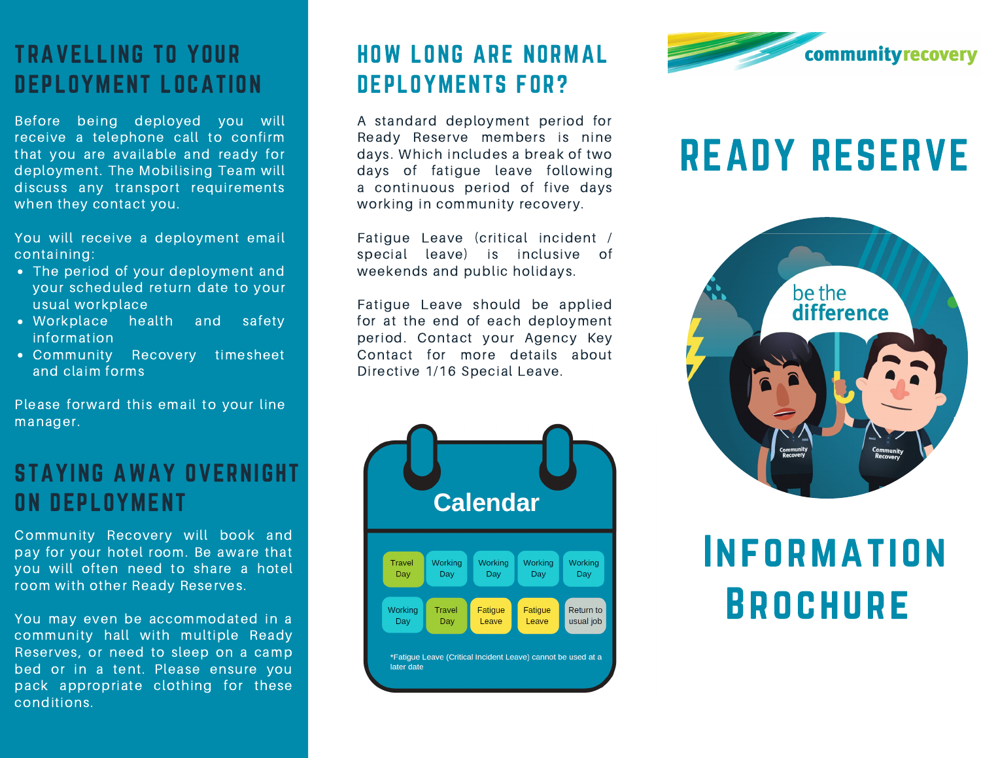# TRAVELLING TO YOUR DEPLOYMENT LOCATION

Before being deployed you will receive a telephone call to confirm that you are available and ready for deployment. The Mobilising Team will discuss any transport requirements when they contact you.

You will receive a deployment email containing:

- The period of your deployment and your scheduled return date to your usual workplace
- Workplace health and safety information
- Community Recovery timesheet and claim forms

Please forward this email to your line manager.

### STAYING AWAY OVERNIGHT ON DEPLOYMENT

Community Recovery will book and pay for your hotel room. Be aware that you will often need to share a hotel room with other Ready Reserves.

You may even be accommodated in a community hall with multiple Ready Reserves, or need to sleep on a camp bed or in a tent. Please ensure you pack appropriate clothing for these conditions.

# HOW LONG ARE NORMAL DEPLOYMENTS FOR?

A standard deployment period for Ready Reserve members is nine days. Which includes a break of two days of fatigue leave following a continuous period of five days working in community recovery.

Fatigue Leave (critical incident / special leave) is inclusive of weekends and public holidays.

Fatigue Leave should be applied for at the end of each deployment period. Contact your Agency Key Contact for more details about Directive 1/16 Special Leave.





# READY RESERVE



# **INFORMATION BROCHURE**